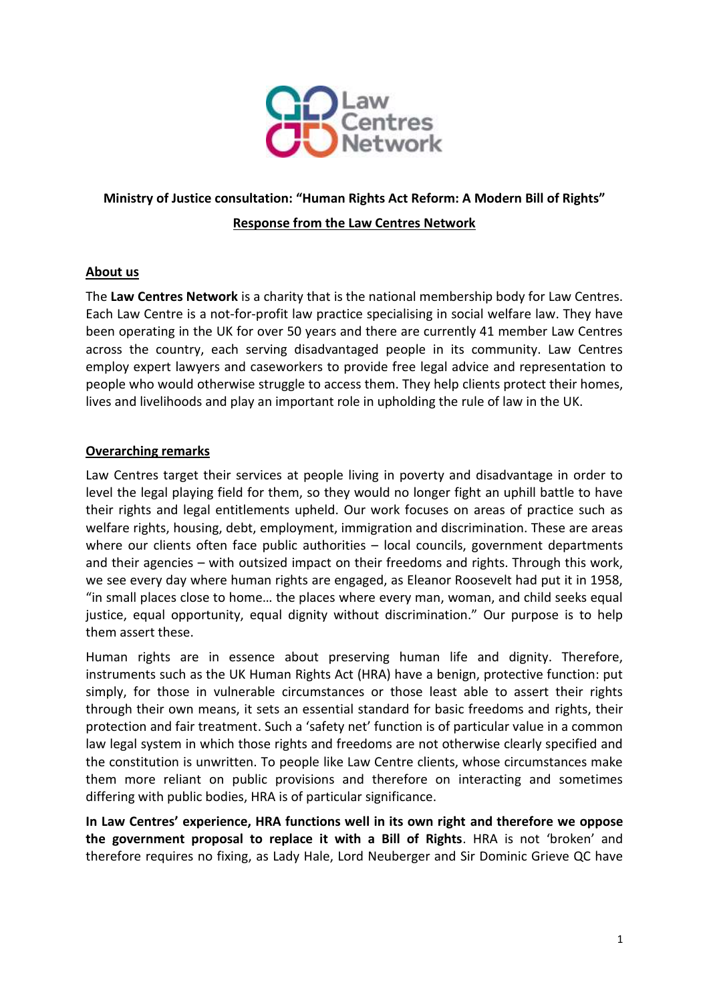

# **Ministry of Justice consultation: "Human Rights Act Reform: A Modern Bill of Rights"**

#### **Response from the Law Centres Network**

#### **About us**

The **Law Centres Network** is a charity that is the national membership body for Law Centres. Each Law Centre is a not-for-profit law practice specialising in social welfare law. They have been operating in the UK for over 50 years and there are currently 41 member Law Centres across the country, each serving disadvantaged people in its community. Law Centres employ expert lawyers and caseworkers to provide free legal advice and representation to people who would otherwise struggle to access them. They help clients protect their homes, lives and livelihoods and play an important role in upholding the rule of law in the UK.

#### **Overarching remarks**

Law Centres target their services at people living in poverty and disadvantage in order to level the legal playing field for them, so they would no longer fight an uphill battle to have their rights and legal entitlements upheld. Our work focuses on areas of practice such as welfare rights, housing, debt, employment, immigration and discrimination. These are areas where our clients often face public authorities – local councils, government departments and their agencies – with outsized impact on their freedoms and rights. Through this work, we see every day where human rights are engaged, as Eleanor Roosevelt had put it in 1958, "in small places close to home… the places where every man, woman, and child seeks equal justice, equal opportunity, equal dignity without discrimination." Our purpose is to help them assert these.

Human rights are in essence about preserving human life and dignity. Therefore, instruments such as the UK Human Rights Act (HRA) have a benign, protective function: put simply, for those in vulnerable circumstances or those least able to assert their rights through their own means, it sets an essential standard for basic freedoms and rights, their protection and fair treatment. Such a 'safety net' function is of particular value in a common law legal system in which those rights and freedoms are not otherwise clearly specified and the constitution is unwritten. To people like Law Centre clients, whose circumstances make them more reliant on public provisions and therefore on interacting and sometimes differing with public bodies, HRA is of particular significance.

**In Law Centres' experience, HRA functions well in its own right and therefore we oppose the government proposal to replace it with a Bill of Rights**. HRA is not 'broken' and therefore requires no fixing, as Lady Hale, Lord Neuberger and Sir Dominic Grieve QC have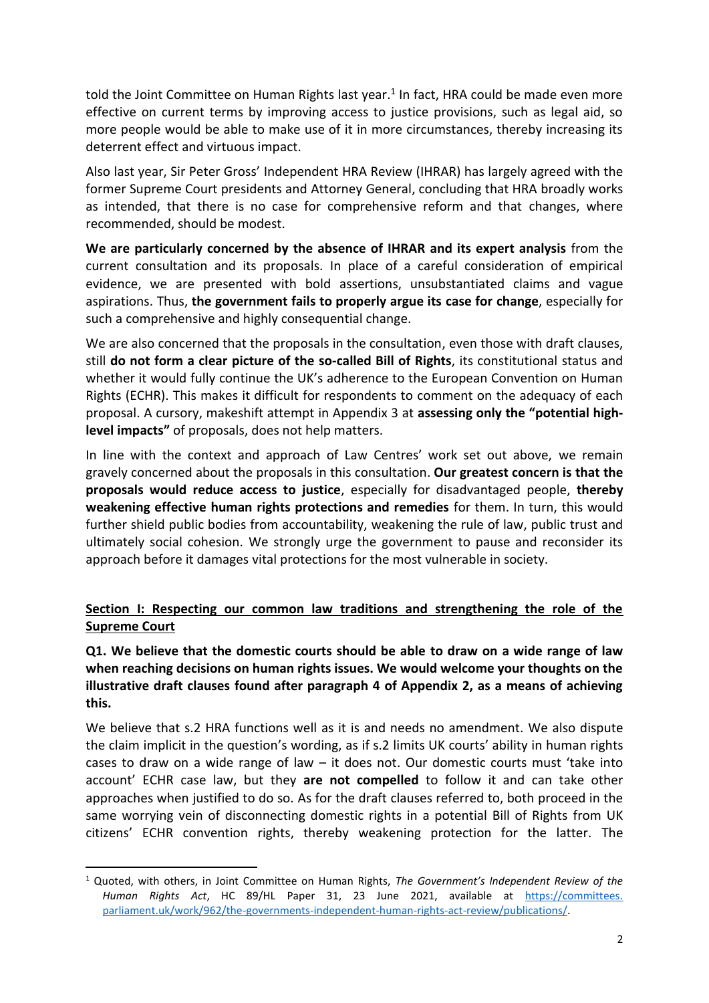told the Joint Committee on Human Rights last year. 1 In fact, HRA could be made even more effective on current terms by improving access to justice provisions, such as legal aid, so more people would be able to make use of it in more circumstances, thereby increasing its deterrent effect and virtuous impact.

Also last year, Sir Peter Gross' Independent HRA Review (IHRAR) has largely agreed with the former Supreme Court presidents and Attorney General, concluding that HRA broadly works as intended, that there is no case for comprehensive reform and that changes, where recommended, should be modest.

**We are particularly concerned by the absence of IHRAR and its expert analysis** from the current consultation and its proposals. In place of a careful consideration of empirical evidence, we are presented with bold assertions, unsubstantiated claims and vague aspirations. Thus, **the government fails to properly argue its case for change**, especially for such a comprehensive and highly consequential change.

We are also concerned that the proposals in the consultation, even those with draft clauses, still **do not form a clear picture of the so-called Bill of Rights**, its constitutional status and whether it would fully continue the UK's adherence to the European Convention on Human Rights (ECHR). This makes it difficult for respondents to comment on the adequacy of each proposal. A cursory, makeshift attempt in Appendix 3 at **assessing only the "potential highlevel impacts"** of proposals, does not help matters.

In line with the context and approach of Law Centres' work set out above, we remain gravely concerned about the proposals in this consultation. **Our greatest concern is that the proposals would reduce access to justice**, especially for disadvantaged people, **thereby weakening effective human rights protections and remedies** for them. In turn, this would further shield public bodies from accountability, weakening the rule of law, public trust and ultimately social cohesion. We strongly urge the government to pause and reconsider its approach before it damages vital protections for the most vulnerable in society.

# **Section I: Respecting our common law traditions and strengthening the role of the Supreme Court**

## **Q1. We believe that the domestic courts should be able to draw on a wide range of law when reaching decisions on human rights issues. We would welcome your thoughts on the illustrative draft clauses found after paragraph 4 of Appendix 2, as a means of achieving this.**

We believe that s.2 HRA functions well as it is and needs no amendment. We also dispute the claim implicit in the question's wording, as if s.2 limits UK courts' ability in human rights cases to draw on a wide range of law – it does not. Our domestic courts must 'take into account' ECHR case law, but they **are not compelled** to follow it and can take other approaches when justified to do so. As for the draft clauses referred to, both proceed in the same worrying vein of disconnecting domestic rights in a potential Bill of Rights from UK citizens' ECHR convention rights, thereby weakening protection for the latter. The

<sup>1</sup> Quoted, with others, in Joint Committee on Human Rights, *The Government's Independent Review of the Human Rights Act*, HC 89/HL Paper 31, 23 June 2021, available at [https://committees.](https://committees.parliament.uk/work/962/the-governments-independent-human-rights-act-review/publications/) [parliament.uk/work/962/the-governments-independent-human-rights-act-review/publications/.](https://committees.parliament.uk/work/962/the-governments-independent-human-rights-act-review/publications/)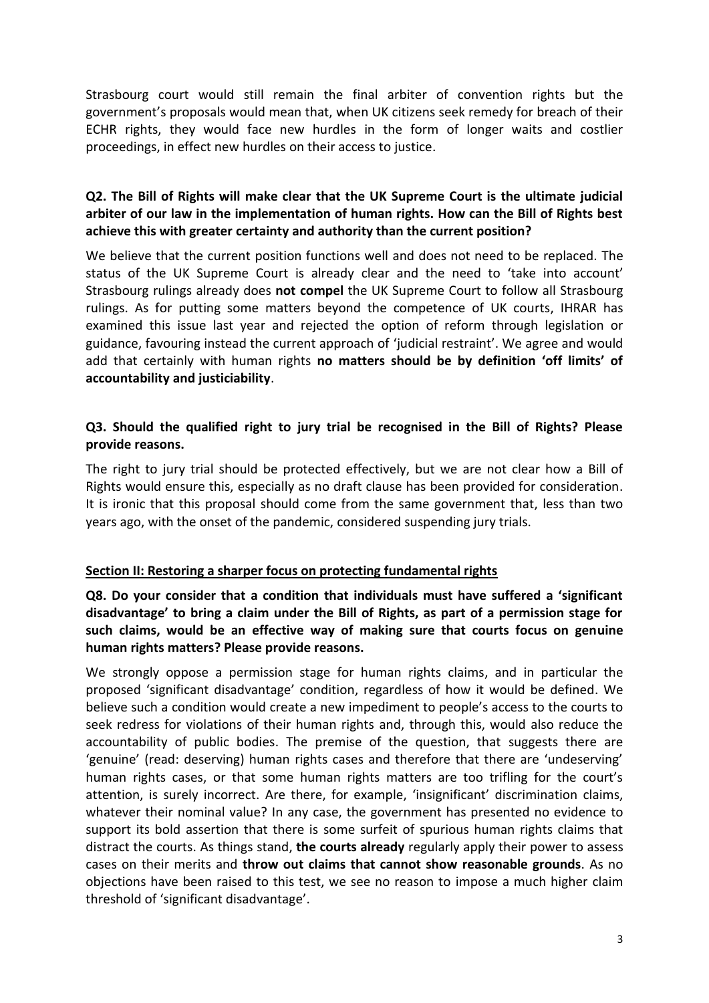Strasbourg court would still remain the final arbiter of convention rights but the government's proposals would mean that, when UK citizens seek remedy for breach of their ECHR rights, they would face new hurdles in the form of longer waits and costlier proceedings, in effect new hurdles on their access to justice.

### **Q2. The Bill of Rights will make clear that the UK Supreme Court is the ultimate judicial arbiter of our law in the implementation of human rights. How can the Bill of Rights best achieve this with greater certainty and authority than the current position?**

We believe that the current position functions well and does not need to be replaced. The status of the UK Supreme Court is already clear and the need to 'take into account' Strasbourg rulings already does **not compel** the UK Supreme Court to follow all Strasbourg rulings. As for putting some matters beyond the competence of UK courts, IHRAR has examined this issue last year and rejected the option of reform through legislation or guidance, favouring instead the current approach of 'judicial restraint'. We agree and would add that certainly with human rights **no matters should be by definition 'off limits' of accountability and justiciability**.

### **Q3. Should the qualified right to jury trial be recognised in the Bill of Rights? Please provide reasons.**

The right to jury trial should be protected effectively, but we are not clear how a Bill of Rights would ensure this, especially as no draft clause has been provided for consideration. It is ironic that this proposal should come from the same government that, less than two years ago, with the onset of the pandemic, considered suspending jury trials.

#### **Section II: Restoring a sharper focus on protecting fundamental rights**

**Q8. Do your consider that a condition that individuals must have suffered a 'significant disadvantage' to bring a claim under the Bill of Rights, as part of a permission stage for such claims, would be an effective way of making sure that courts focus on genuine human rights matters? Please provide reasons.** 

We strongly oppose a permission stage for human rights claims, and in particular the proposed 'significant disadvantage' condition, regardless of how it would be defined. We believe such a condition would create a new impediment to people's access to the courts to seek redress for violations of their human rights and, through this, would also reduce the accountability of public bodies. The premise of the question, that suggests there are 'genuine' (read: deserving) human rights cases and therefore that there are 'undeserving' human rights cases, or that some human rights matters are too trifling for the court's attention, is surely incorrect. Are there, for example, 'insignificant' discrimination claims, whatever their nominal value? In any case, the government has presented no evidence to support its bold assertion that there is some surfeit of spurious human rights claims that distract the courts. As things stand, **the courts already** regularly apply their power to assess cases on their merits and **throw out claims that cannot show reasonable grounds**. As no objections have been raised to this test, we see no reason to impose a much higher claim threshold of 'significant disadvantage'.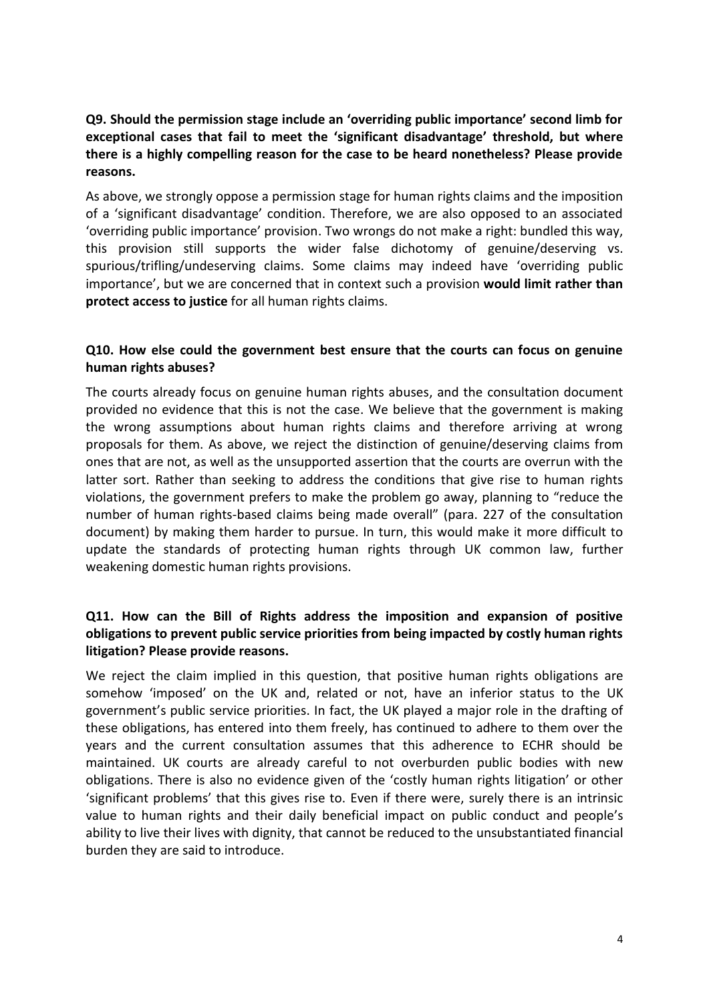# **Q9. Should the permission stage include an 'overriding public importance' second limb for exceptional cases that fail to meet the 'significant disadvantage' threshold, but where there is a highly compelling reason for the case to be heard nonetheless? Please provide reasons.**

As above, we strongly oppose a permission stage for human rights claims and the imposition of a 'significant disadvantage' condition. Therefore, we are also opposed to an associated 'overriding public importance' provision. Two wrongs do not make a right: bundled this way, this provision still supports the wider false dichotomy of genuine/deserving vs. spurious/trifling/undeserving claims. Some claims may indeed have 'overriding public importance', but we are concerned that in context such a provision **would limit rather than protect access to justice** for all human rights claims.

### **Q10. How else could the government best ensure that the courts can focus on genuine human rights abuses?**

The courts already focus on genuine human rights abuses, and the consultation document provided no evidence that this is not the case. We believe that the government is making the wrong assumptions about human rights claims and therefore arriving at wrong proposals for them. As above, we reject the distinction of genuine/deserving claims from ones that are not, as well as the unsupported assertion that the courts are overrun with the latter sort. Rather than seeking to address the conditions that give rise to human rights violations, the government prefers to make the problem go away, planning to "reduce the number of human rights-based claims being made overall" (para. 227 of the consultation document) by making them harder to pursue. In turn, this would make it more difficult to update the standards of protecting human rights through UK common law, further weakening domestic human rights provisions.

# **Q11. How can the Bill of Rights address the imposition and expansion of positive obligations to prevent public service priorities from being impacted by costly human rights litigation? Please provide reasons.**

We reject the claim implied in this question, that positive human rights obligations are somehow 'imposed' on the UK and, related or not, have an inferior status to the UK government's public service priorities. In fact, the UK played a major role in the drafting of these obligations, has entered into them freely, has continued to adhere to them over the years and the current consultation assumes that this adherence to ECHR should be maintained. UK courts are already careful to not overburden public bodies with new obligations. There is also no evidence given of the 'costly human rights litigation' or other 'significant problems' that this gives rise to. Even if there were, surely there is an intrinsic value to human rights and their daily beneficial impact on public conduct and people's ability to live their lives with dignity, that cannot be reduced to the unsubstantiated financial burden they are said to introduce.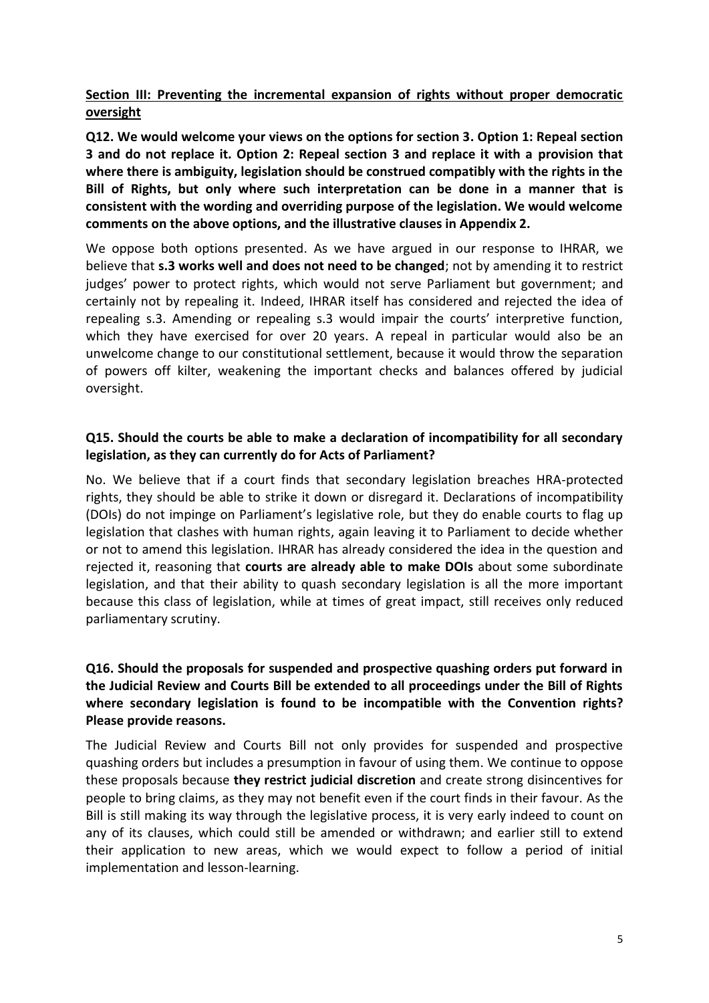# **Section III: Preventing the incremental expansion of rights without proper democratic oversight**

**Q12. We would welcome your views on the options for section 3. Option 1: Repeal section 3 and do not replace it. Option 2: Repeal section 3 and replace it with a provision that where there is ambiguity, legislation should be construed compatibly with the rights in the Bill of Rights, but only where such interpretation can be done in a manner that is consistent with the wording and overriding purpose of the legislation. We would welcome comments on the above options, and the illustrative clauses in Appendix 2.** 

We oppose both options presented. As we have argued in our response to IHRAR, we believe that **s.3 works well and does not need to be changed**; not by amending it to restrict judges' power to protect rights, which would not serve Parliament but government; and certainly not by repealing it. Indeed, IHRAR itself has considered and rejected the idea of repealing s.3. Amending or repealing s.3 would impair the courts' interpretive function, which they have exercised for over 20 years. A repeal in particular would also be an unwelcome change to our constitutional settlement, because it would throw the separation of powers off kilter, weakening the important checks and balances offered by judicial oversight.

### **Q15. Should the courts be able to make a declaration of incompatibility for all secondary legislation, as they can currently do for Acts of Parliament?**

No. We believe that if a court finds that secondary legislation breaches HRA-protected rights, they should be able to strike it down or disregard it. Declarations of incompatibility (DOIs) do not impinge on Parliament's legislative role, but they do enable courts to flag up legislation that clashes with human rights, again leaving it to Parliament to decide whether or not to amend this legislation. IHRAR has already considered the idea in the question and rejected it, reasoning that **courts are already able to make DOIs** about some subordinate legislation, and that their ability to quash secondary legislation is all the more important because this class of legislation, while at times of great impact, still receives only reduced parliamentary scrutiny.

## **Q16. Should the proposals for suspended and prospective quashing orders put forward in the Judicial Review and Courts Bill be extended to all proceedings under the Bill of Rights where secondary legislation is found to be incompatible with the Convention rights? Please provide reasons.**

The Judicial Review and Courts Bill not only provides for suspended and prospective quashing orders but includes a presumption in favour of using them. We continue to oppose these proposals because **they restrict judicial discretion** and create strong disincentives for people to bring claims, as they may not benefit even if the court finds in their favour. As the Bill is still making its way through the legislative process, it is very early indeed to count on any of its clauses, which could still be amended or withdrawn; and earlier still to extend their application to new areas, which we would expect to follow a period of initial implementation and lesson-learning.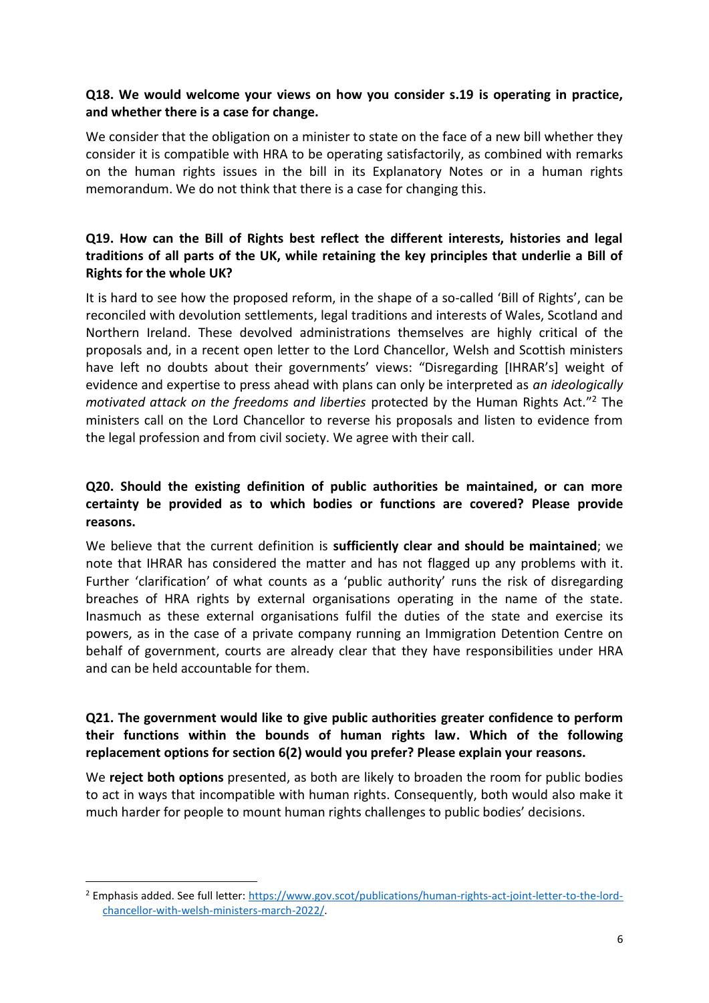## **Q18. We would welcome your views on how you consider s.19 is operating in practice, and whether there is a case for change.**

We consider that the obligation on a minister to state on the face of a new bill whether they consider it is compatible with HRA to be operating satisfactorily, as combined with remarks on the human rights issues in the bill in its Explanatory Notes or in a human rights memorandum. We do not think that there is a case for changing this.

# **Q19. How can the Bill of Rights best reflect the different interests, histories and legal traditions of all parts of the UK, while retaining the key principles that underlie a Bill of Rights for the whole UK?**

It is hard to see how the proposed reform, in the shape of a so-called 'Bill of Rights', can be reconciled with devolution settlements, legal traditions and interests of Wales, Scotland and Northern Ireland. These devolved administrations themselves are highly critical of the proposals and, in a recent open letter to the Lord Chancellor, Welsh and Scottish ministers have left no doubts about their governments' views: "Disregarding [IHRAR's] weight of evidence and expertise to press ahead with plans can only be interpreted as *an ideologically motivated attack on the freedoms and liberties* protected by the Human Rights Act." <sup>2</sup> The ministers call on the Lord Chancellor to reverse his proposals and listen to evidence from the legal profession and from civil society. We agree with their call.

# **Q20. Should the existing definition of public authorities be maintained, or can more certainty be provided as to which bodies or functions are covered? Please provide reasons.**

We believe that the current definition is **sufficiently clear and should be maintained**; we note that IHRAR has considered the matter and has not flagged up any problems with it. Further 'clarification' of what counts as a 'public authority' runs the risk of disregarding breaches of HRA rights by external organisations operating in the name of the state. Inasmuch as these external organisations fulfil the duties of the state and exercise its powers, as in the case of a private company running an Immigration Detention Centre on behalf of government, courts are already clear that they have responsibilities under HRA and can be held accountable for them.

### **Q21. The government would like to give public authorities greater confidence to perform their functions within the bounds of human rights law. Which of the following replacement options for section 6(2) would you prefer? Please explain your reasons.**

We **reject both options** presented, as both are likely to broaden the room for public bodies to act in ways that incompatible with human rights. Consequently, both would also make it much harder for people to mount human rights challenges to public bodies' decisions.

<sup>2</sup> Emphasis added. See full letter: [https://www.gov.scot/publications/human-rights-act-joint-letter-to-the-lord](https://www.gov.scot/publications/human-rights-act-joint-letter-to-the-lord-chancellor-with-welsh-ministers-march-2022/)[chancellor-with-welsh-ministers-march-2022/.](https://www.gov.scot/publications/human-rights-act-joint-letter-to-the-lord-chancellor-with-welsh-ministers-march-2022/)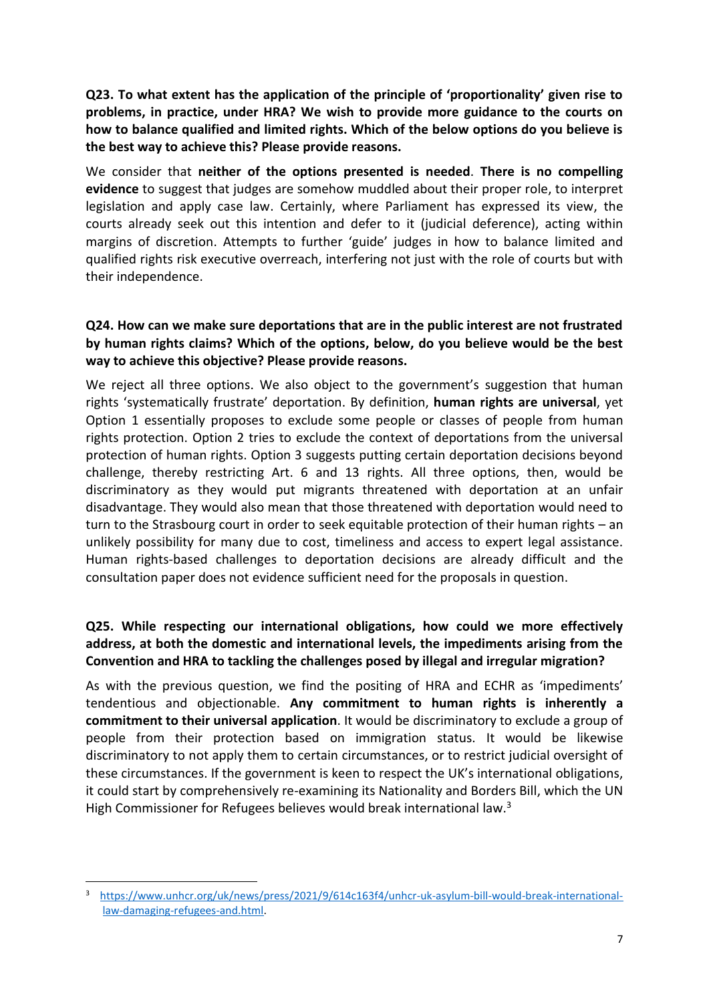**Q23. To what extent has the application of the principle of 'proportionality' given rise to problems, in practice, under HRA? We wish to provide more guidance to the courts on how to balance qualified and limited rights. Which of the below options do you believe is the best way to achieve this? Please provide reasons.**

We consider that **neither of the options presented is needed**. **There is no compelling evidence** to suggest that judges are somehow muddled about their proper role, to interpret legislation and apply case law. Certainly, where Parliament has expressed its view, the courts already seek out this intention and defer to it (judicial deference), acting within margins of discretion. Attempts to further 'guide' judges in how to balance limited and qualified rights risk executive overreach, interfering not just with the role of courts but with their independence.

### **Q24. How can we make sure deportations that are in the public interest are not frustrated by human rights claims? Which of the options, below, do you believe would be the best way to achieve this objective? Please provide reasons.**

We reject all three options. We also object to the government's suggestion that human rights 'systematically frustrate' deportation. By definition, **human rights are universal**, yet Option 1 essentially proposes to exclude some people or classes of people from human rights protection. Option 2 tries to exclude the context of deportations from the universal protection of human rights. Option 3 suggests putting certain deportation decisions beyond challenge, thereby restricting Art. 6 and 13 rights. All three options, then, would be discriminatory as they would put migrants threatened with deportation at an unfair disadvantage. They would also mean that those threatened with deportation would need to turn to the Strasbourg court in order to seek equitable protection of their human rights – an unlikely possibility for many due to cost, timeliness and access to expert legal assistance. Human rights-based challenges to deportation decisions are already difficult and the consultation paper does not evidence sufficient need for the proposals in question.

# **Q25. While respecting our international obligations, how could we more effectively address, at both the domestic and international levels, the impediments arising from the Convention and HRA to tackling the challenges posed by illegal and irregular migration?**

As with the previous question, we find the positing of HRA and ECHR as 'impediments' tendentious and objectionable. **Any commitment to human rights is inherently a commitment to their universal application**. It would be discriminatory to exclude a group of people from their protection based on immigration status. It would be likewise discriminatory to not apply them to certain circumstances, or to restrict judicial oversight of these circumstances. If the government is keen to respect the UK's international obligations, it could start by comprehensively re-examining its Nationality and Borders Bill, which the UN High Commissioner for Refugees believes would break international law.<sup>3</sup>

[https://www.unhcr.org/uk/news/press/2021/9/614c163f4/unhcr-uk-asylum-bill-would-break-international](https://www.unhcr.org/uk/news/press/2021/9/614c163f4/unhcr-uk-asylum-bill-would-break-international-‌‌law‌-damaging-refugees-and.html)[law-damaging-refugees-and.html.](https://www.unhcr.org/uk/news/press/2021/9/614c163f4/unhcr-uk-asylum-bill-would-break-international-‌‌law‌-damaging-refugees-and.html)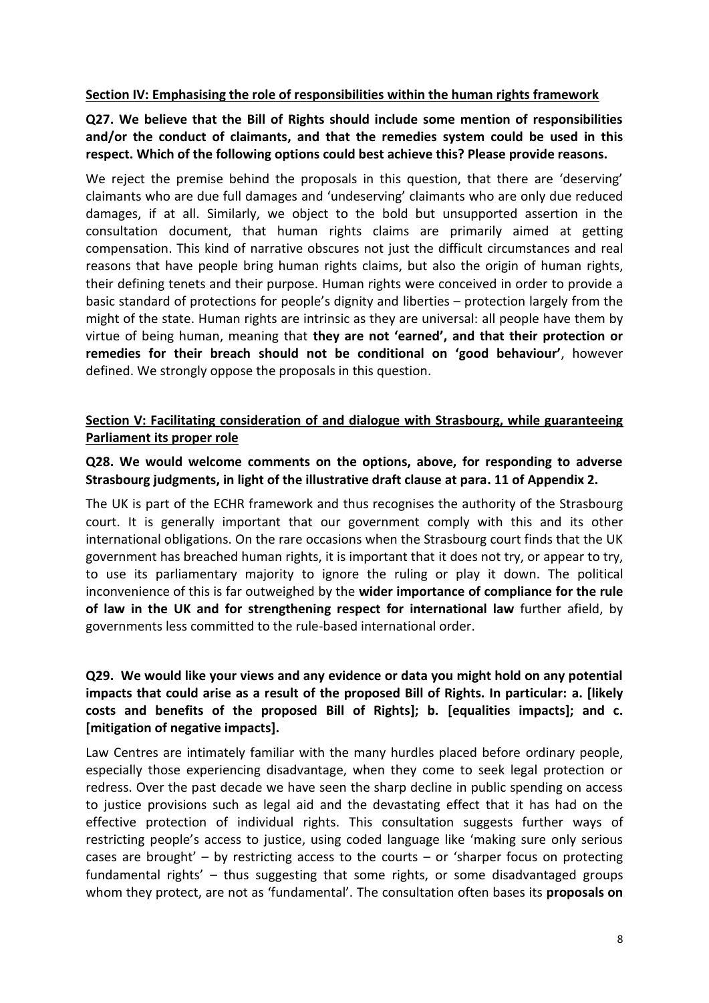#### **Section IV: Emphasising the role of responsibilities within the human rights framework**

**Q27. We believe that the Bill of Rights should include some mention of responsibilities and/or the conduct of claimants, and that the remedies system could be used in this respect. Which of the following options could best achieve this? Please provide reasons.** 

We reject the premise behind the proposals in this question, that there are 'deserving' claimants who are due full damages and 'undeserving' claimants who are only due reduced damages, if at all. Similarly, we object to the bold but unsupported assertion in the consultation document, that human rights claims are primarily aimed at getting compensation. This kind of narrative obscures not just the difficult circumstances and real reasons that have people bring human rights claims, but also the origin of human rights, their defining tenets and their purpose. Human rights were conceived in order to provide a basic standard of protections for people's dignity and liberties – protection largely from the might of the state. Human rights are intrinsic as they are universal: all people have them by virtue of being human, meaning that **they are not 'earned', and that their protection or remedies for their breach should not be conditional on 'good behaviour'**, however defined. We strongly oppose the proposals in this question.

### **Section V: Facilitating consideration of and dialogue with Strasbourg, while guaranteeing Parliament its proper role**

### **Q28. We would welcome comments on the options, above, for responding to adverse Strasbourg judgments, in light of the illustrative draft clause at para. 11 of Appendix 2.**

The UK is part of the ECHR framework and thus recognises the authority of the Strasbourg court. It is generally important that our government comply with this and its other international obligations. On the rare occasions when the Strasbourg court finds that the UK government has breached human rights, it is important that it does not try, or appear to try, to use its parliamentary majority to ignore the ruling or play it down. The political inconvenience of this is far outweighed by the **wider importance of compliance for the rule of law in the UK and for strengthening respect for international law** further afield, by governments less committed to the rule-based international order.

## **Q29. We would like your views and any evidence or data you might hold on any potential impacts that could arise as a result of the proposed Bill of Rights. In particular: a. [likely costs and benefits of the proposed Bill of Rights]; b. [equalities impacts]; and c. [mitigation of negative impacts].**

Law Centres are intimately familiar with the many hurdles placed before ordinary people, especially those experiencing disadvantage, when they come to seek legal protection or redress. Over the past decade we have seen the sharp decline in public spending on access to justice provisions such as legal aid and the devastating effect that it has had on the effective protection of individual rights. This consultation suggests further ways of restricting people's access to justice, using coded language like 'making sure only serious cases are brought' – by restricting access to the courts – or 'sharper focus on protecting fundamental rights' – thus suggesting that some rights, or some disadvantaged groups whom they protect, are not as 'fundamental'. The consultation often bases its **proposals on**